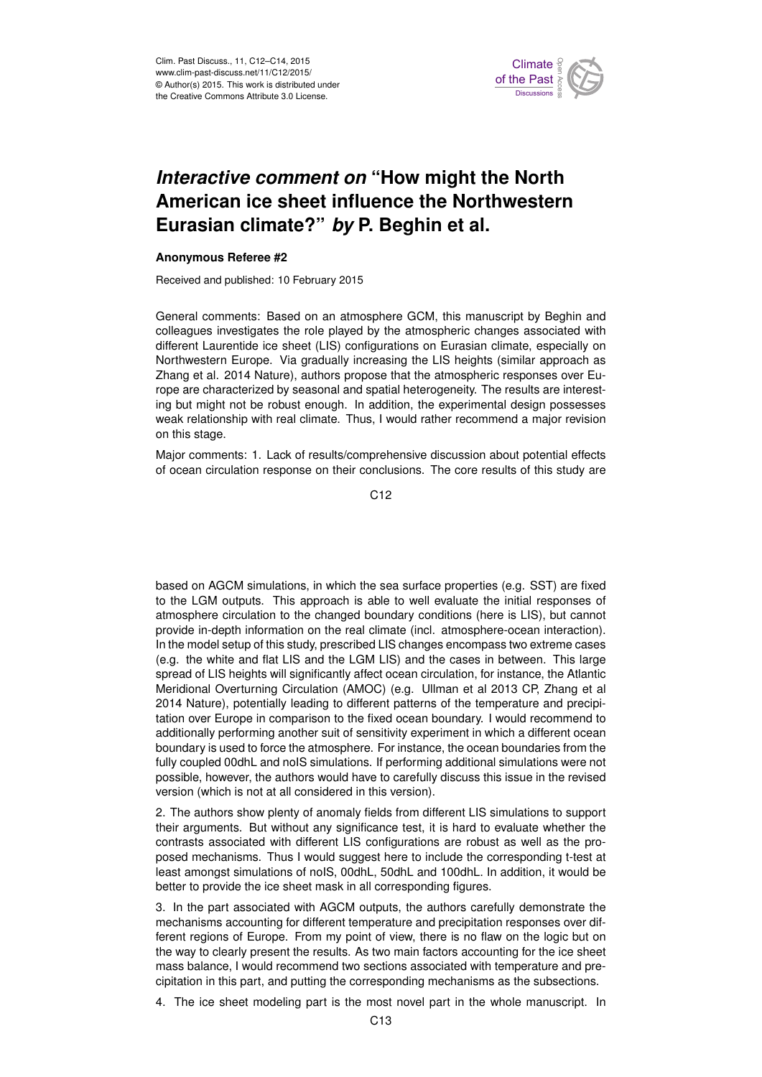

## *Interactive comment on* **"How might the North American ice sheet influence the Northwestern Eurasian climate?"** *by* **P. Beghin et al.**

## **Anonymous Referee #2**

Received and published: 10 February 2015

General comments: Based on an atmosphere GCM, this manuscript by Beghin and colleagues investigates the role played by the atmospheric changes associated with different Laurentide ice sheet (LIS) configurations on Eurasian climate, especially on Northwestern Europe. Via gradually increasing the LIS heights (similar approach as Zhang et al. 2014 Nature), authors propose that the atmospheric responses over Europe are characterized by seasonal and spatial heterogeneity. The results are interesting but might not be robust enough. In addition, the experimental design possesses weak relationship with real climate. Thus, I would rather recommend a major revision on this stage.

Major comments: 1. Lack of results/comprehensive discussion about potential effects of ocean circulation response on their conclusions. The core results of this study are

 $C<sub>12</sub>$ 

based on AGCM simulations, in which the sea surface properties (e.g. SST) are fixed to the LGM outputs. This approach is able to well evaluate the initial responses of atmosphere circulation to the changed boundary conditions (here is LIS), but cannot provide in-depth information on the real climate (incl. atmosphere-ocean interaction). In the model setup of this study, prescribed LIS changes encompass two extreme cases (e.g. the white and flat LIS and the LGM LIS) and the cases in between. This large spread of LIS heights will significantly affect ocean circulation, for instance, the Atlantic Meridional Overturning Circulation (AMOC) (e.g. Ullman et al 2013 CP, Zhang et al 2014 Nature), potentially leading to different patterns of the temperature and precipitation over Europe in comparison to the fixed ocean boundary. I would recommend to additionally performing another suit of sensitivity experiment in which a different ocean boundary is used to force the atmosphere. For instance, the ocean boundaries from the fully coupled 00dhL and noIS simulations. If performing additional simulations were not possible, however, the authors would have to carefully discuss this issue in the revised version (which is not at all considered in this version).

2. The authors show plenty of anomaly fields from different LIS simulations to support their arguments. But without any significance test, it is hard to evaluate whether the contrasts associated with different LIS configurations are robust as well as the proposed mechanisms. Thus I would suggest here to include the corresponding t-test at least amongst simulations of noIS, 00dhL, 50dhL and 100dhL. In addition, it would be better to provide the ice sheet mask in all corresponding figures.

3. In the part associated with AGCM outputs, the authors carefully demonstrate the mechanisms accounting for different temperature and precipitation responses over different regions of Europe. From my point of view, there is no flaw on the logic but on the way to clearly present the results. As two main factors accounting for the ice sheet mass balance, I would recommend two sections associated with temperature and precipitation in this part, and putting the corresponding mechanisms as the subsections.

4. The ice sheet modeling part is the most novel part in the whole manuscript. In